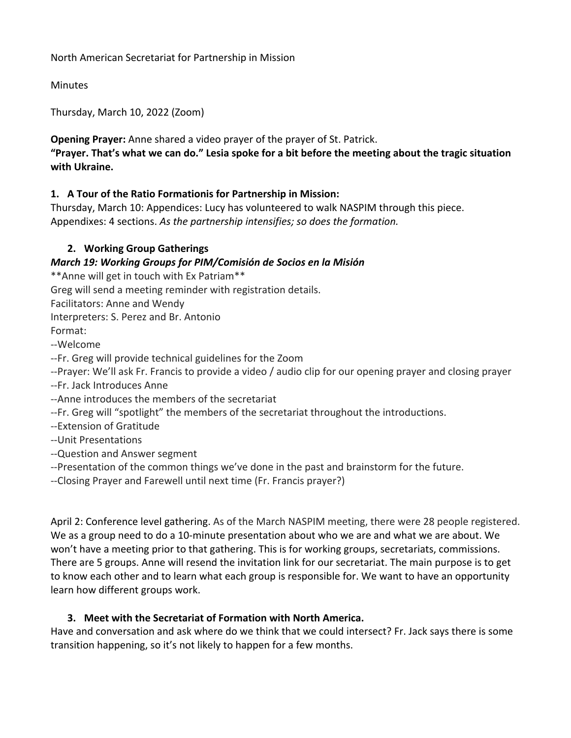North American Secretariat for Partnership in Mission

Minutes

Thursday, March 10, 2022 (Zoom)

**Opening Prayer:** Anne shared a video prayer of the prayer of St. Patrick.

**"Prayer. That's what we can do." Lesia spoke for a bit before the meeting about the tragic situation with Ukraine.**

# **1. A Tour of the Ratio Formationis for Partnership in Mission:**

Thursday, March 10: Appendices: Lucy has volunteered to walk NASPIM through this piece. Appendixes: 4 sections. *As the partnership intensifies; so does the formation.*

# **2. Working Group Gatherings**

## *March 19: Working Groups for PIM/Comisión de Socios en la Misión*

\*\*Anne will get in touch with Ex Patriam\*\*

Greg will send a meeting reminder with registration details.

Facilitators: Anne and Wendy

Interpreters: S. Perez and Br. Antonio Format:

--Welcome

--Fr. Greg will provide technical guidelines for the Zoom

--Prayer: We'll ask Fr. Francis to provide a video / audio clip for our opening prayer and closing prayer

- --Fr. Jack Introduces Anne
- --Anne introduces the members of the secretariat
- --Fr. Greg will "spotlight" the members of the secretariat throughout the introductions.
- --Extension of Gratitude
- --Unit Presentations
- --Question and Answer segment
- --Presentation of the common things we've done in the past and brainstorm for the future.
- --Closing Prayer and Farewell until next time (Fr. Francis prayer?)

April 2: Conference level gathering. As of the March NASPIM meeting, there were 28 people registered. We as a group need to do a 10-minute presentation about who we are and what we are about. We won't have a meeting prior to that gathering. This is for working groups, secretariats, commissions. There are 5 groups. Anne will resend the invitation link for our secretariat. The main purpose is to get to know each other and to learn what each group is responsible for. We want to have an opportunity learn how different groups work.

## **3. Meet with the Secretariat of Formation with North America.**

Have and conversation and ask where do we think that we could intersect? Fr. Jack says there is some transition happening, so it's not likely to happen for a few months.